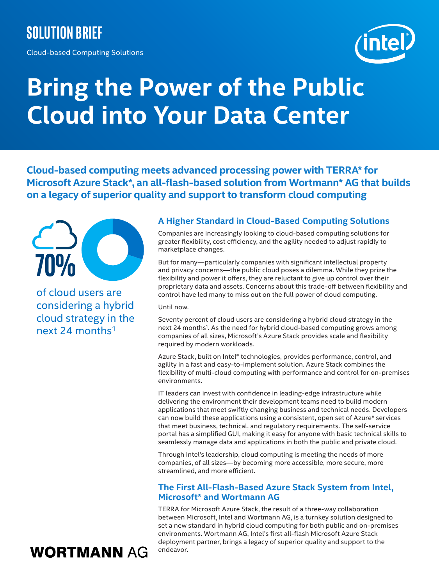# **Solution brief**

Cloud-based Computing Solutions



# **Bring the Power of the Public Cloud into Your Data Center**

**Cloud-based computing meets advanced processing power with TERRA\* for Microsoft Azure Stack\*, an all-flash-based solution from Wortmann\* AG that builds on a legacy of superior quality and support to transform cloud computing**



of cloud users are considering a hybrid cloud strategy in the next 24 months1

#### **A Higher Standard in Cloud-Based Computing Solutions**

Companies are increasingly looking to cloud-based computing solutions for greater flexibility, cost efficiency, and the agility needed to adjust rapidly to marketplace changes.

But for many—particularly companies with significant intellectual property and privacy concerns—the public cloud poses a dilemma. While they prize the flexibility and power it offers, they are reluctant to give up control over their proprietary data and assets. Concerns about this trade-off between flexibility and control have led many to miss out on the full power of cloud computing.

Until now.

Seventy percent of cloud users are considering a hybrid cloud strategy in the next 24 months<sup>1</sup>. As the need for hybrid cloud-based computing grows among companies of all sizes, Microsoft's Azure Stack provides scale and flexibility required by modern workloads.

Azure Stack, built on Intel® technologies, provides performance, control, and agility in a fast and easy-to-implement solution. Azure Stack combines the flexibility of multi-cloud computing with performance and control for on-premises environments.

IT leaders can invest with confidence in leading-edge infrastructure while delivering the environment their development teams need to build modern applications that meet swiftly changing business and technical needs. Developers can now build these applications using a consistent, open set of Azure\* services that meet business, technical, and regulatory requirements. The self-service portal has a simplified GUI, making it easy for anyone with basic technical skills to seamlessly manage data and applications in both the public and private cloud.

Through Intel's leadership, cloud computing is meeting the needs of more companies, of all sizes—by becoming more accessible, more secure, more streamlined, and more efficient.

#### **The First All-Flash-Based Azure Stack System from Intel, Microsoft\* and Wortmann AG**

TERRA for Microsoft Azure Stack, the result of a three-way collaboration between Microsoft, Intel and Wortmann AG, is a turnkey solution designed to set a new standard in hybrid cloud computing for both public and on-premises environments. Wortmann AG, Intel's first all-flash Microsoft Azure Stack deployment partner, brings a legacy of superior quality and support to the endeavor.

# **WORTMANN AG**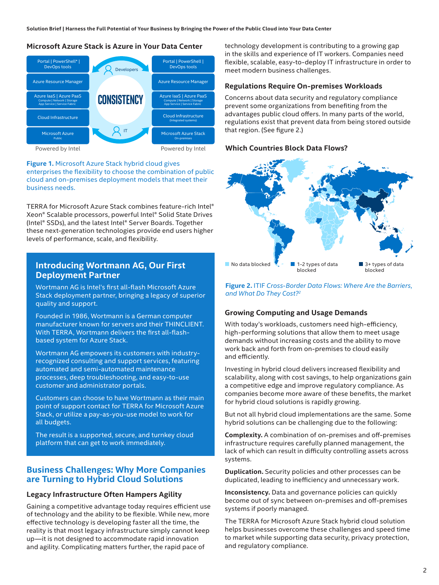**Solution Brief | Harness the Full Potential of Your Business by Bringing the Power of the Public Cloud into Your Data Center**

#### **Microsoft Azure Stack is Azure in your datacenter Microsoft Azure Stack is Azure in Your Data Center**



**Figure 1.** Microsoft Azure Stack hybrid cloud gives enterprises the flexibility to choose the combination of public cloud and on-premises deployment models that meet their business needs.

TERRA for Microsoft Azure Stack combines feature-rich Intel® Xeon® Scalable processors, powerful Intel® Solid State Drives (Intel® SSDs), and the latest Intel® Server Boards. Together these next-generation technologies provide end users higher levels of performance, scale, and flexibility.

#### **Introducing Wortmann AG, Our First Deployment Partner**

Wortmann AG is Intel's first all-flash Microsoft Azure Stack deployment partner, bringing a legacy of superior quality and support.

Founded in 1986, Wortmann is a German computer manufacturer known for servers and their THINCLIENT. With TERRA, Wortmann delivers the first all-flashbased system for Azure Stack.

Wortmann AG empowers its customers with industryrecognized consulting and support services, featuring automated and semi-automated maintenance processes, deep troubleshooting, and easy-to-use customer and administrator portals.

Customers can choose to have Wortmann as their main point of support contact for TERRA for Microsoft Azure Stack, or utilize a pay-as-you-use model to work for all budgets.

The result is a supported, secure, and turnkey cloud platform that can get to work immediately.

#### **Business Challenges: Why More Companies are Turning to Hybrid Cloud Solutions**

#### **Legacy Infrastructure Often Hampers Agility**

Gaining a competitive advantage today requires efficient use of technology and the ability to be flexible. While new, more effective technology is developing faster all the time, the reality is that most legacy infrastructure simply cannot keep up—it is not designed to accommodate rapid innovation and agility. Complicating matters further, the rapid pace of

technology development is contributing to a growing gap in the skills and experience of IT workers. Companies need flexible, scalable, easy-to-deploy IT infrastructure in order to meet modern business challenges.

#### **Regulations Require On-premises Workloads**

Concerns about data security and regulatory compliance prevent some organizations from benefiting from the advantages public cloud offers. In many parts of the world, regulations exist that prevent data from being stored outside that region. (See figure 2.)

### **Which Countries Block Data Flows?\* Which Countries Block Data Flows?**



**Figure 2.** ITIF *Cross-Border Data Flows: Where Are the Barriers, and What Do They Cost?2*

#### **Growing Computing and Usage Demands**

With today's workloads, customers need high-efficiency, high-performing solutions that allow them to meet usage demands without increasing costs and the ability to move work back and forth from on-premises to cloud easily and efficiently.

Investing in hybrid cloud delivers increased flexibility and scalability, along with cost savings, to help organizations gain a competitive edge and improve regulatory compliance. As companies become more aware of these benefits, the market for hybrid cloud solutions is rapidly growing.

But not all hybrid cloud implementations are the same. Some hybrid solutions can be challenging due to the following:

**Complexity.** A combination of on-premises and off-premises infrastructure requires carefully planned management, the lack of which can result in difficulty controlling assets across systems.

**Duplication.** Security policies and other processes can be duplicated, leading to inefficiency and unnecessary work.

**Inconsistency.** Data and governance policies can quickly become out of sync between on-premises and off-premises systems if poorly managed.

The TERRA for Microsoft Azure Stack hybrid cloud solution helps businesses overcome these challenges and speed time to market while supporting data security, privacy protection, and regulatory compliance.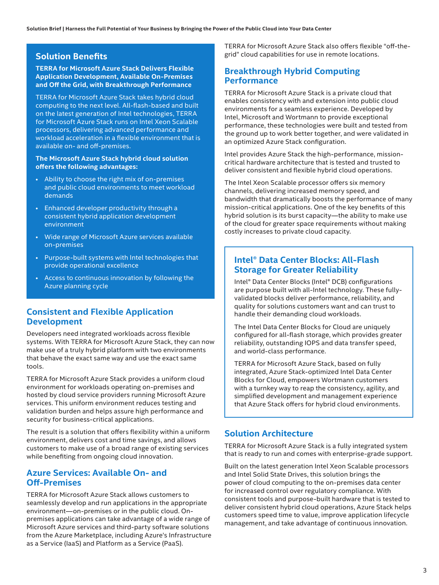#### **Solution Benefits**

#### **TERRA for Microsoft Azure Stack Delivers Flexible Application Development, Available On-Premises and Off the Grid, with Breakthrough Performance**

TERRA for Microsoft Azure Stack takes hybrid cloud computing to the next level. All-flash-based and built on the latest generation of Intel technologies, TERRA for Microsoft Azure Stack runs on Intel Xeon Scalable processors, delivering advanced performance and workload acceleration in a flexible environment that is available on- and off-premises.

#### **The Microsoft Azure Stack hybrid cloud solution offers the following advantages:**

- Ability to choose the right mix of on-premises and public cloud environments to meet workload demands
- Enhanced developer productivity through a consistent hybrid application development environment
- Wide range of Microsoft Azure services available on-premises
- Purpose-built systems with Intel technologies that provide operational excellence
- Access to continuous innovation by following the Azure planning cycle

#### **Consistent and Flexible Application Development**

Developers need integrated workloads across flexible systems. With TERRA for Microsoft Azure Stack, they can now make use of a truly hybrid platform with two environments that behave the exact same way and use the exact same tools.

TERRA for Microsoft Azure Stack provides a uniform cloud environment for workloads operating on-premises and hosted by cloud service providers running Microsoft Azure services. This uniform environment reduces testing and validation burden and helps assure high performance and security for business-critical applications.

The result is a solution that offers flexibility within a uniform environment, delivers cost and time savings, and allows customers to make use of a broad range of existing services while benefiting from ongoing cloud innovation.

#### **Azure Services: Available On- and Off-Premises**

TERRA for Microsoft Azure Stack allows customers to seamlessly develop and run applications in the appropriate environment—on-premises or in the public cloud. Onpremises applications can take advantage of a wide range of Microsoft Azure services and third-party software solutions from the Azure Marketplace, including Azure's Infrastructure as a Service (IaaS) and Platform as a Service (PaaS).

TERRA for Microsoft Azure Stack also offers flexible "off-thegrid" cloud capabilities for use in remote locations.

#### **Breakthrough Hybrid Computing Performance**

TERRA for Microsoft Azure Stack is a private cloud that enables consistency with and extension into public cloud environments for a seamless experience. Developed by Intel, Microsoft and Wortmann to provide exceptional performance, these technologies were built and tested from the ground up to work better together, and were validated in an optimized Azure Stack configuration.

Intel provides Azure Stack the high-performance, missioncritical hardware architecture that is tested and trusted to deliver consistent and flexible hybrid cloud operations.

The Intel Xeon Scalable processor offers six memory channels, delivering increased memory speed, and bandwidth that dramatically boosts the performance of many mission-critical applications. One of the key benefits of this hybrid solution is its burst capacity—the ability to make use of the cloud for greater space requirements without making costly increases to private cloud capacity.

#### **Intel® Data Center Blocks: All-Flash Storage for Greater Reliability**

Intel® Data Center Blocks (Intel® DCB) configurations are purpose built with all-Intel technology. These fullyvalidated blocks deliver performance, reliability, and quality for solutions customers want and can trust to handle their demanding cloud workloads.

The Intel Data Center Blocks for Cloud are uniquely configured for all-flash storage, which provides greater reliability, outstanding IOPS and data transfer speed, and world-class performance.

TERRA for Microsoft Azure Stack, based on fully integrated, Azure Stack-optimized Intel Data Center Blocks for Cloud, empowers Wortmann customers with a turnkey way to reap the consistency, agility, and simplified development and management experience that Azure Stack offers for hybrid cloud environments.

#### **Solution Architecture**

TERRA for Microsoft Azure Stack is a fully integrated system that is ready to run and comes with enterprise-grade support.

Built on the latest generation Intel Xeon Scalable processors and Intel Solid State Drives, this solution brings the power of cloud computing to the on-premises data center for increased control over regulatory compliance. With consistent tools and purpose-built hardware that is tested to deliver consistent hybrid cloud operations, Azure Stack helps customers speed time to value, improve application lifecycle management, and take advantage of continuous innovation.